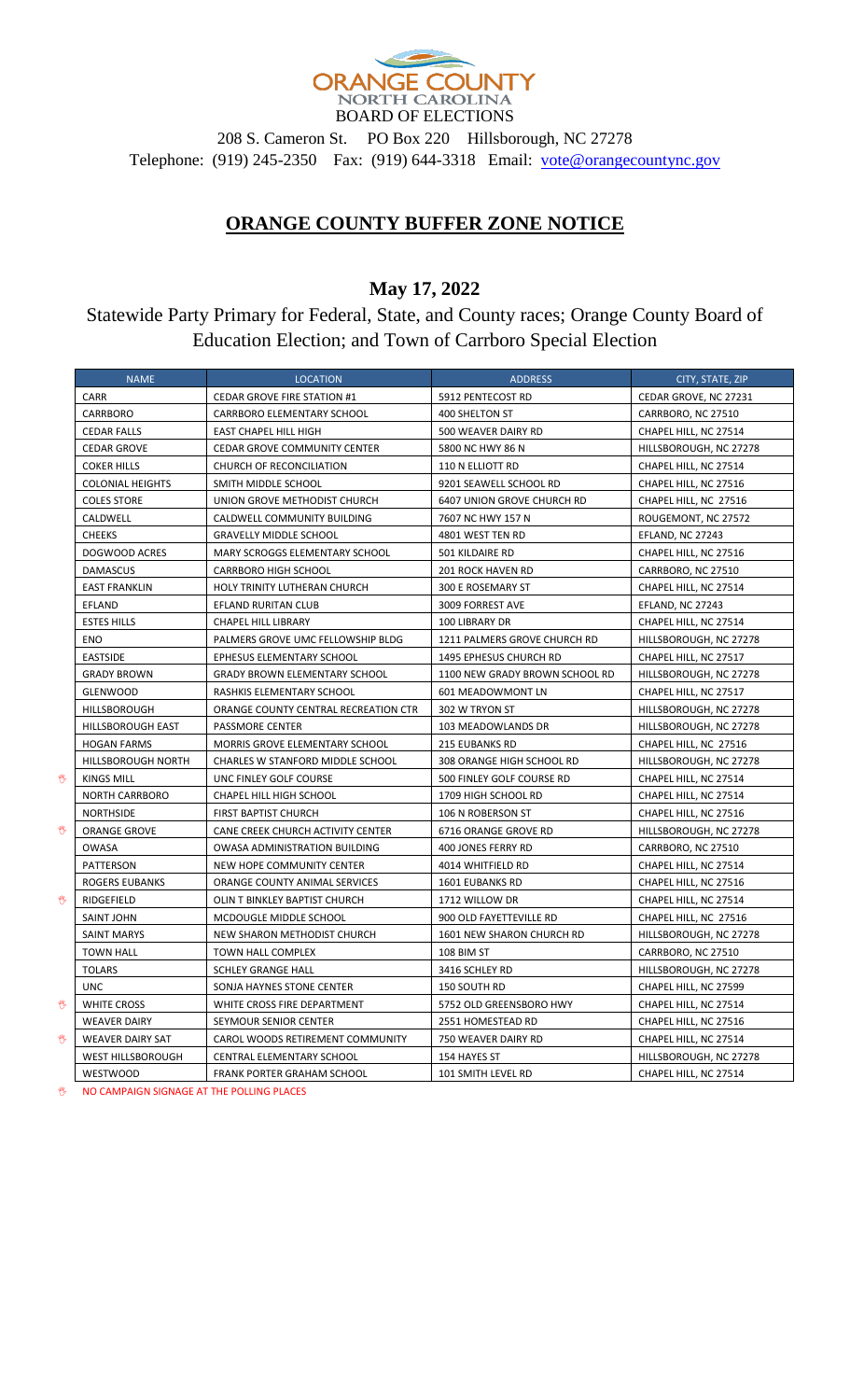

BOARD OF ELECTIONS 208 S. Cameron St. PO Box 220 Hillsborough, NC 27278 Telephone: (919) 245-2350 Fax: (919) 644-3318 Email: [vote@orangecountync.gov](mailto:vote@orangecountync.gov)

## **ORANGE COUNTY BUFFER ZONE NOTICE**

## **May 17, 2022**

Statewide Party Primary for Federal, State, and County races; Orange County Board of Education Election; and Town of Carrboro Special Election

|   | <b>NAME</b>             | <b>LOCATION</b>                      | <b>ADDRESS</b>                 | CITY, STATE, ZIP       |
|---|-------------------------|--------------------------------------|--------------------------------|------------------------|
|   | CARR                    | <b>CEDAR GROVE FIRE STATION #1</b>   | 5912 PENTECOST RD              | CEDAR GROVE, NC 27231  |
|   | <b>CARRBORO</b>         | <b>CARRBORO ELEMENTARY SCHOOL</b>    | 400 SHELTON ST                 | CARRBORO, NC 27510     |
|   | <b>CEDAR FALLS</b>      | EAST CHAPEL HILL HIGH                | 500 WEAVER DAIRY RD            | CHAPEL HILL, NC 27514  |
|   | <b>CEDAR GROVE</b>      | <b>CEDAR GROVE COMMUNITY CENTER</b>  | 5800 NC HWY 86 N               | HILLSBOROUGH, NC 27278 |
|   | <b>COKER HILLS</b>      | CHURCH OF RECONCILIATION             | 110 N ELLIOTT RD               | CHAPEL HILL, NC 27514  |
|   | <b>COLONIAL HEIGHTS</b> | SMITH MIDDLE SCHOOL                  | 9201 SEAWELL SCHOOL RD         | CHAPEL HILL, NC 27516  |
|   | <b>COLES STORE</b>      | UNION GROVE METHODIST CHURCH         | 6407 UNION GROVE CHURCH RD     | CHAPEL HILL, NC 27516  |
|   | CALDWELL                | CALDWELL COMMUNITY BUILDING          | 7607 NC HWY 157 N              | ROUGEMONT, NC 27572    |
|   | <b>CHEEKS</b>           | <b>GRAVELLY MIDDLE SCHOOL</b>        | 4801 WEST TEN RD               | EFLAND, NC 27243       |
|   | DOGWOOD ACRES           | MARY SCROGGS ELEMENTARY SCHOOL       | 501 KILDAIRE RD                | CHAPEL HILL, NC 27516  |
|   | <b>DAMASCUS</b>         | <b>CARRBORO HIGH SCHOOL</b>          | 201 ROCK HAVEN RD              | CARRBORO, NC 27510     |
|   | <b>EAST FRANKLIN</b>    | HOLY TRINITY LUTHERAN CHURCH         | 300 E ROSEMARY ST              | CHAPEL HILL, NC 27514  |
|   | EFLAND                  | EFLAND RURITAN CLUB                  | 3009 FORREST AVE               | EFLAND, NC 27243       |
|   | <b>ESTES HILLS</b>      | CHAPEL HILL LIBRARY                  | 100 LIBRARY DR                 | CHAPEL HILL, NC 27514  |
|   | ENO                     | PALMERS GROVE UMC FELLOWSHIP BLDG    | 1211 PALMERS GROVE CHURCH RD   | HILLSBOROUGH, NC 27278 |
|   | <b>EASTSIDE</b>         | EPHESUS ELEMENTARY SCHOOL            | 1495 EPHESUS CHURCH RD         | CHAPEL HILL, NC 27517  |
|   | <b>GRADY BROWN</b>      | <b>GRADY BROWN ELEMENTARY SCHOOL</b> | 1100 NEW GRADY BROWN SCHOOL RD | HILLSBOROUGH, NC 27278 |
|   | <b>GLENWOOD</b>         | RASHKIS ELEMENTARY SCHOOL            | 601 MEADOWMONT LN              | CHAPEL HILL, NC 27517  |
|   | HILLSBOROUGH            | ORANGE COUNTY CENTRAL RECREATION CTR | 302 W TRYON ST                 | HILLSBOROUGH, NC 27278 |
|   | HILLSBOROUGH EAST       | PASSMORE CENTER                      | 103 MEADOWLANDS DR             | HILLSBOROUGH, NC 27278 |
|   | <b>HOGAN FARMS</b>      | MORRIS GROVE ELEMENTARY SCHOOL       | <b>215 EUBANKS RD</b>          | CHAPEL HILL, NC 27516  |
|   | HILLSBOROUGH NORTH      | CHARLES W STANFORD MIDDLE SCHOOL     | 308 ORANGE HIGH SCHOOL RD      | HILLSBOROUGH, NC 27278 |
| ₩ | KINGS MILL              | UNC FINLEY GOLF COURSE               | 500 FINLEY GOLF COURSE RD      | CHAPEL HILL, NC 27514  |
|   | <b>NORTH CARRBORO</b>   | CHAPEL HILL HIGH SCHOOL              | 1709 HIGH SCHOOL RD            | CHAPEL HILL, NC 27514  |
|   | <b>NORTHSIDE</b>        | FIRST BAPTIST CHURCH                 | 106 N ROBERSON ST              | CHAPEL HILL, NC 27516  |
| 雙 | <b>ORANGE GROVE</b>     | CANE CREEK CHURCH ACTIVITY CENTER    | 6716 ORANGE GROVE RD           | HILLSBOROUGH, NC 27278 |
|   | OWASA                   | OWASA ADMINISTRATION BUILDING        | 400 JONES FERRY RD             | CARRBORO, NC 27510     |
|   | PATTERSON               | NEW HOPE COMMUNITY CENTER            | 4014 WHITFIELD RD              | CHAPEL HILL, NC 27514  |
|   | ROGERS EUBANKS          | ORANGE COUNTY ANIMAL SERVICES        | <b>1601 EUBANKS RD</b>         | CHAPEL HILL, NC 27516  |
| 辔 | RIDGEFIELD              | OLIN T BINKLEY BAPTIST CHURCH        | 1712 WILLOW DR                 | CHAPEL HILL, NC 27514  |
|   | <b>SAINT JOHN</b>       | MCDOUGLE MIDDLE SCHOOL               | 900 OLD FAYETTEVILLE RD        | CHAPEL HILL, NC 27516  |
|   | <b>SAINT MARYS</b>      | NEW SHARON METHODIST CHURCH          | 1601 NEW SHARON CHURCH RD      | HILLSBOROUGH, NC 27278 |
|   | <b>TOWN HALL</b>        | TOWN HALL COMPLEX                    | 108 BIM ST                     | CARRBORO, NC 27510     |
|   | <b>TOLARS</b>           | <b>SCHLEY GRANGE HALL</b>            | 3416 SCHLEY RD                 | HILLSBOROUGH, NC 27278 |
|   | <b>UNC</b>              | SONJA HAYNES STONE CENTER            | 150 SOUTH RD                   | CHAPEL HILL, NC 27599  |
| 辔 | <b>WHITE CROSS</b>      | WHITE CROSS FIRE DEPARTMENT          | 5752 OLD GREENSBORO HWY        | CHAPEL HILL, NC 27514  |
|   | <b>WEAVER DAIRY</b>     | SEYMOUR SENIOR CENTER                | 2551 HOMESTEAD RD              | CHAPEL HILL, NC 27516  |
| 辔 | <b>WEAVER DAIRY SAT</b> | CAROL WOODS RETIREMENT COMMUNITY     | 750 WEAVER DAIRY RD            | CHAPEL HILL, NC 27514  |
|   | WEST HILLSBOROUGH       | CENTRAL ELEMENTARY SCHOOL            | 154 HAYES ST                   | HILLSBOROUGH, NC 27278 |
|   | <b>WESTWOOD</b>         | FRANK PORTER GRAHAM SCHOOL           | 101 SMITH LEVEL RD             | CHAPEL HILL, NC 27514  |

**WE ARE NO CAMPAIGN SIGNAGE AT THE POLLING PLACES**